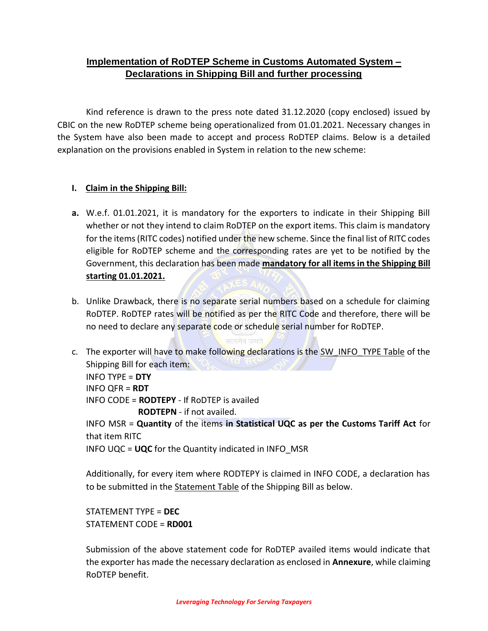# **Implementation of RoDTEP Scheme in Customs Automated System – Declarations in Shipping Bill and further processing**

Kind reference is drawn to the press note dated 31.12.2020 (copy enclosed) issued by CBIC on the new RoDTEP scheme being operationalized from 01.01.2021. Necessary changes in the System have also been made to accept and process RoDTEP claims. Below is a detailed explanation on the provisions enabled in System in relation to the new scheme:

## **I. Claim in the Shipping Bill:**

- **a.** W.e.f. 01.01.2021, it is mandatory for the exporters to indicate in their Shipping Bill whether or not they intend to claim RoDTEP on the export items. This claim is mandatory for the items (RITC codes) notified under the new scheme. Since the final list of RITC codes eligible for RoDTEP scheme and the corresponding rates are yet to be notified by the Government, this declaration has been made **mandatory for all items in the Shipping Bill starting 01.01.2021.**
- b. Unlike Drawback, there is no separate serial numbers based on a schedule for claiming RoDTEP. RoDTEP rates will be notified as per the RITC Code and therefore, there will be no need to declare any separate code or schedule serial number for RoDTEP.
- c. The exporter will have to make following declarations is the SW\_INFO\_TYPE Table of the Shipping Bill for each item: INFO TYPE = **DTY** INFO QFR = **RDT** INFO CODE = **RODTEPY** - If RoDTEP is availed  **RODTEPN** - if not availed. INFO MSR = **Quantity** of the items **in Statistical UQC as per the Customs Tariff Act** for that item RITC INFO UQC = **UQC** for the Quantity indicated in INFO\_MSR

Additionally, for every item where RODTEPY is claimed in INFO CODE, a declaration has to be submitted in the Statement Table of the Shipping Bill as below.

STATEMENT TYPE = **DEC** STATEMENT CODE = **RD001**

Submission of the above statement code for RoDTEP availed items would indicate that the exporter has made the necessary declaration as enclosed in **Annexure**, while claiming RoDTEP benefit.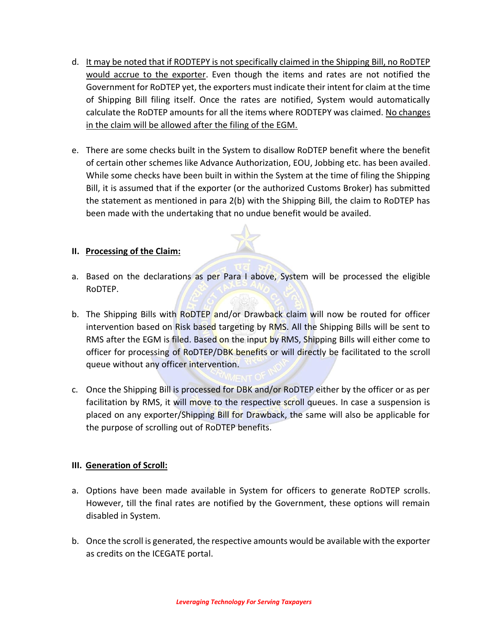- d. It may be noted that if RODTEPY is not specifically claimed in the Shipping Bill, no RoDTEP would accrue to the exporter. Even though the items and rates are not notified the Government for RoDTEP yet, the exporters must indicate their intent for claim at the time of Shipping Bill filing itself. Once the rates are notified, System would automatically calculate the RoDTEP amounts for all the items where RODTEPY was claimed. No changes in the claim will be allowed after the filing of the EGM.
- e. There are some checks built in the System to disallow RoDTEP benefit where the benefit of certain other schemes like Advance Authorization, EOU, Jobbing etc. has been availed. While some checks have been built in within the System at the time of filing the Shipping Bill, it is assumed that if the exporter (or the authorized Customs Broker) has submitted the statement as mentioned in para 2(b) with the Shipping Bill, the claim to RoDTEP has been made with the undertaking that no undue benefit would be availed.

#### **II. Processing of the Claim:**

- a. Based on the declarations as per Para I above, System will be processed the eligible RoDTEP.
- b. The Shipping Bills with RoDTEP and/or Drawback claim will now be routed for officer intervention based on Risk based targeting by RMS. All the Shipping Bills will be sent to RMS after the EGM is filed. Based on the input by RMS, Shipping Bills will either come to officer for processing of RoDTEP/DBK benefits or will directly be facilitated to the scroll queue without any officer intervention.
- c. Once the Shipping Bill is processed for DBK and/or RoDTEP either by the officer or as per facilitation by RMS, it will move to the respective scroll queues. In case a suspension is placed on any exporter/Shipping Bill for Drawback, the same will also be applicable for the purpose of scrolling out of RoDTEP benefits.

#### **III. Generation of Scroll:**

- a. Options have been made available in System for officers to generate RoDTEP scrolls. However, till the final rates are notified by the Government, these options will remain disabled in System.
- b. Once the scroll is generated, the respective amounts would be available with the exporter as credits on the ICEGATE portal.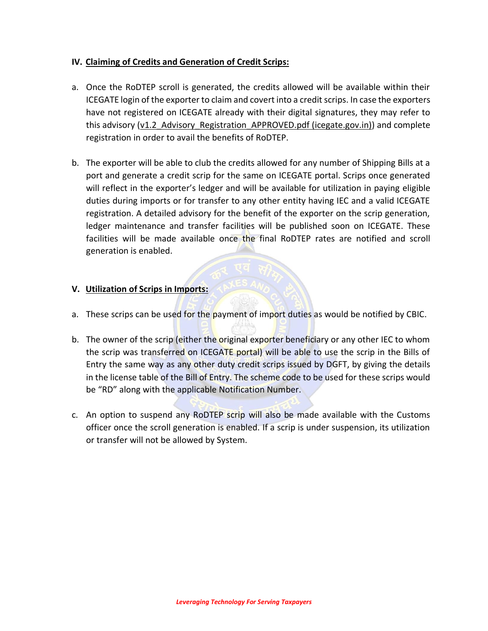### **IV. Claiming of Credits and Generation of Credit Scrips:**

- a. Once the RoDTEP scroll is generated, the credits allowed will be available within their ICEGATE login of the exporter to claim and covert into a credit scrips. In case the exporters have not registered on ICEGATE already with their digital signatures, they may refer to this advisory (v1.2 Advisory Registration APPROVED.pdf (icegate.gov.in)) and complete registration in order to avail the benefits of RoDTEP.
- b. The exporter will be able to club the credits allowed for any number of Shipping Bills at a port and generate a credit scrip for the same on ICEGATE portal. Scrips once generated will reflect in the exporter's ledger and will be available for utilization in paying eligible duties during imports or for transfer to any other entity having IEC and a valid ICEGATE registration. A detailed advisory for the benefit of the exporter on the scrip generation, ledger maintenance and transfer facilities will be published soon on ICEGATE. These facilities will be made available once the final RoDTEP rates are notified and scroll generation is enabled.

#### **V. Utilization of Scrips in Imports:**

- a. These scrips can be used for the payment of import duties as would be notified by CBIC.
- b. The owner of the scrip (either the original exporter beneficiary or any other IEC to whom the scrip was transferred on ICEGATE portal) will be able to use the scrip in the Bills of Entry the same way as any other duty credit scrips issued by DGFT, by giving the details in the license table of the Bill of Entry. The scheme code to be used for these scrips would be "RD" along with the applicable Notification Number.
- c. An option to suspend any RoDTEP scrip will also be made available with the Customs officer once the scroll generation is enabled. If a scrip is under suspension, its utilization or transfer will not be allowed by System.